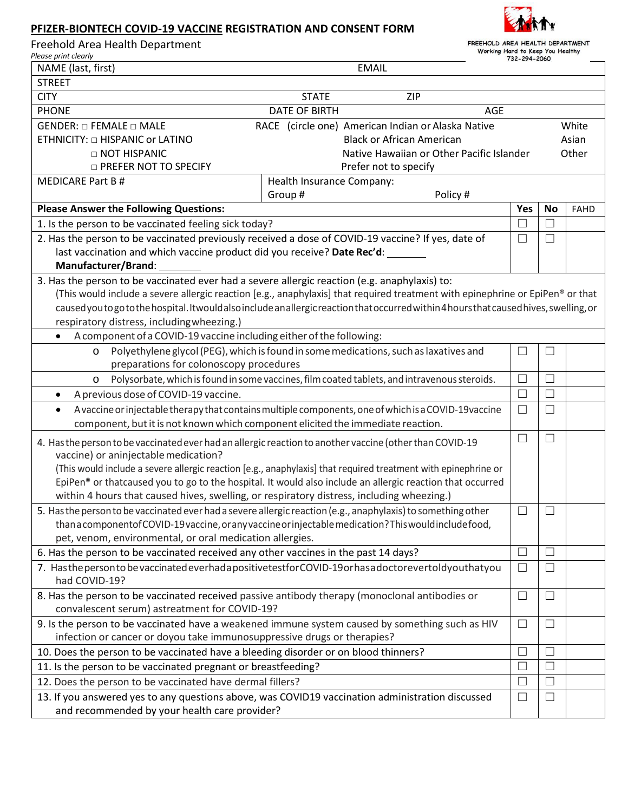## **PFIZER-BIONTECH COVID-19 VACCINE REGISTRATION AND CONSENT FORM**



| Freehold Area Health Department |  |
|---------------------------------|--|
|---------------------------------|--|

FREEHOLD AREA HEALTH DEPARTMENT<br>Working Hard to Keep You Healthy

| Please print clearly                                                                                                                                                                                                     |                           |                                                                                      | 732-294-2060      |              |             |  |
|--------------------------------------------------------------------------------------------------------------------------------------------------------------------------------------------------------------------------|---------------------------|--------------------------------------------------------------------------------------|-------------------|--------------|-------------|--|
| NAME (last, first)                                                                                                                                                                                                       |                           | <b>EMAIL</b>                                                                         |                   |              |             |  |
| <b>STREET</b>                                                                                                                                                                                                            |                           |                                                                                      |                   |              |             |  |
| <b>CITY</b><br>ZIP<br><b>STATE</b>                                                                                                                                                                                       |                           |                                                                                      |                   |              |             |  |
| <b>PHONE</b><br><b>DATE OF BIRTH</b><br><b>AGE</b>                                                                                                                                                                       |                           |                                                                                      |                   |              |             |  |
| GENDER: $\Box$ FEMALE $\Box$ MALE                                                                                                                                                                                        |                           | RACE (circle one) American Indian or Alaska Native                                   |                   |              | White       |  |
| ETHNICITY: $\Box$ HISPANIC or LATINO                                                                                                                                                                                     |                           | <b>Black or African American</b>                                                     |                   |              | Asian       |  |
| $\Box$ NOT HISPANIC                                                                                                                                                                                                      |                           | Native Hawaiian or Other Pacific Islander                                            |                   |              | Other       |  |
| <b>D PREFER NOT TO SPECIFY</b><br>Prefer not to specify                                                                                                                                                                  |                           |                                                                                      |                   |              |             |  |
| <b>MEDICARE Part B#</b>                                                                                                                                                                                                  | Health Insurance Company: |                                                                                      |                   |              |             |  |
|                                                                                                                                                                                                                          | Group#                    | Policy#                                                                              |                   |              |             |  |
| <b>Please Answer the Following Questions:</b>                                                                                                                                                                            |                           |                                                                                      | Yes               | <b>No</b>    | <b>FAHD</b> |  |
| 1. Is the person to be vaccinated feeling sick today?                                                                                                                                                                    |                           |                                                                                      | $\Box$            | $\Box$       |             |  |
| 2. Has the person to be vaccinated previously received a dose of COVID-19 vaccine? If yes, date of                                                                                                                       |                           |                                                                                      | $\Box$            | ⊔            |             |  |
| last vaccination and which vaccine product did you receive? Date Rec'd:                                                                                                                                                  |                           |                                                                                      |                   |              |             |  |
| Manufacturer/Brand:                                                                                                                                                                                                      |                           |                                                                                      |                   |              |             |  |
| 3. Has the person to be vaccinated ever had a severe allergic reaction (e.g. anaphylaxis) to:                                                                                                                            |                           |                                                                                      |                   |              |             |  |
| (This would include a severe allergic reaction [e.g., anaphylaxis] that required treatment with epinephrine or EpiPen® or that                                                                                           |                           |                                                                                      |                   |              |             |  |
| caused you to go to the hospital. It would also include an allergic reaction that occurred within 4 hours that caused hives, swelling, or                                                                                |                           |                                                                                      |                   |              |             |  |
| respiratory distress, including wheezing.)                                                                                                                                                                               |                           |                                                                                      |                   |              |             |  |
| A component of a COVID-19 vaccine including either of the following:                                                                                                                                                     |                           |                                                                                      |                   |              |             |  |
| O                                                                                                                                                                                                                        |                           | Polyethylene glycol (PEG), which is found in some medications, such as laxatives and | $\Box$            | L            |             |  |
| preparations for colonoscopy procedures                                                                                                                                                                                  |                           |                                                                                      |                   |              |             |  |
| Polysorbate, which is found in some vaccines, film coated tablets, and intravenous steroids.<br>O                                                                                                                        |                           |                                                                                      | $\Box$            | $\Box$       |             |  |
| A previous dose of COVID-19 vaccine.<br>$\bullet$                                                                                                                                                                        |                           |                                                                                      | $\Box$            | $\mathbf{L}$ |             |  |
| A vaccine or injectable therapy that contains multiple components, one of which is a COVID-19 vaccine<br>$\bullet$                                                                                                       |                           |                                                                                      | $\Box$            | $\Box$       |             |  |
| component, but it is not known which component elicited the immediate reaction.                                                                                                                                          |                           |                                                                                      |                   |              |             |  |
| $\Box$<br>$\Box$                                                                                                                                                                                                         |                           |                                                                                      |                   |              |             |  |
| 4. Has the person to be vaccinated ever had an allergic reaction to another vaccine (other than COVID-19                                                                                                                 |                           |                                                                                      |                   |              |             |  |
| vaccine) or aninjectable medication?                                                                                                                                                                                     |                           |                                                                                      |                   |              |             |  |
| (This would include a severe allergic reaction [e.g., anaphylaxis] that required treatment with epinephrine or                                                                                                           |                           |                                                                                      |                   |              |             |  |
| EpiPen® or thatcaused you to go to the hospital. It would also include an allergic reaction that occurred                                                                                                                |                           |                                                                                      |                   |              |             |  |
| within 4 hours that caused hives, swelling, or respiratory distress, including wheezing.)                                                                                                                                |                           |                                                                                      |                   |              |             |  |
| 5. Has the person to be vaccinated ever had a severe allergic reaction (e.g., anaphylaxis) to something other<br>than a component of COVID-19 vaccine, or any vaccine or injectable medication? This would include food, |                           |                                                                                      |                   |              |             |  |
| pet, venom, environmental, or oral medication allergies.                                                                                                                                                                 |                           |                                                                                      |                   |              |             |  |
|                                                                                                                                                                                                                          |                           |                                                                                      | $\Box$            | L            |             |  |
| 6. Has the person to be vaccinated received any other vaccines in the past 14 days?<br>7. Has the person to be vaccinated everhad a positive test for COVID-19 or has a doctorevertol dyou thatyou                       |                           |                                                                                      |                   |              |             |  |
| had COVID-19?                                                                                                                                                                                                            |                           |                                                                                      | $\Box$            | $\Box$       |             |  |
| 8. Has the person to be vaccinated received passive antibody therapy (monoclonal antibodies or                                                                                                                           |                           |                                                                                      |                   | ⊔            |             |  |
| convalescent serum) astreatment for COVID-19?                                                                                                                                                                            |                           |                                                                                      |                   |              |             |  |
| 9. Is the person to be vaccinated have a weakened immune system caused by something such as HIV                                                                                                                          |                           |                                                                                      |                   |              |             |  |
| $\Box$<br>$\Box$<br>infection or cancer or doyou take immunosuppressive drugs or therapies?                                                                                                                              |                           |                                                                                      |                   |              |             |  |
| 10. Does the person to be vaccinated have a bleeding disorder or on blood thinners?<br>$\Box$<br>L                                                                                                                       |                           |                                                                                      |                   |              |             |  |
| 11. Is the person to be vaccinated pregnant or breastfeeding?                                                                                                                                                            |                           |                                                                                      |                   | П            |             |  |
| 12. Does the person to be vaccinated have dermal fillers?                                                                                                                                                                |                           |                                                                                      | $\vert \ \ \vert$ | L            |             |  |
| 13. If you answered yes to any questions above, was COVID19 vaccination administration discussed                                                                                                                         |                           |                                                                                      |                   | $\Box$       |             |  |
| $\Box$<br>and recommended by your health care provider?                                                                                                                                                                  |                           |                                                                                      |                   |              |             |  |